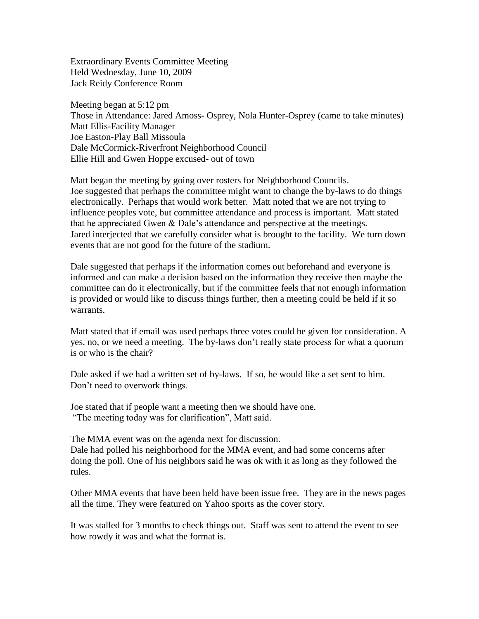Extraordinary Events Committee Meeting Held Wednesday, June 10, 2009 Jack Reidy Conference Room

Meeting began at 5:12 pm Those in Attendance: Jared Amoss- Osprey, Nola Hunter-Osprey (came to take minutes) Matt Ellis-Facility Manager Joe Easton-Play Ball Missoula Dale McCormick-Riverfront Neighborhood Council Ellie Hill and Gwen Hoppe excused- out of town

Matt began the meeting by going over rosters for Neighborhood Councils. Joe suggested that perhaps the committee might want to change the by-laws to do things electronically. Perhaps that would work better. Matt noted that we are not trying to influence peoples vote, but committee attendance and process is important. Matt stated that he appreciated Gwen & Dale's attendance and perspective at the meetings. Jared interjected that we carefully consider what is brought to the facility. We turn down events that are not good for the future of the stadium.

Dale suggested that perhaps if the information comes out beforehand and everyone is informed and can make a decision based on the information they receive then maybe the committee can do it electronically, but if the committee feels that not enough information is provided or would like to discuss things further, then a meeting could be held if it so warrants.

Matt stated that if email was used perhaps three votes could be given for consideration. A yes, no, or we need a meeting. The by-laws don't really state process for what a quorum is or who is the chair?

Dale asked if we had a written set of by-laws. If so, he would like a set sent to him. Don't need to overwork things.

Joe stated that if people want a meeting then we should have one. "The meeting today was for clarification", Matt said.

The MMA event was on the agenda next for discussion. Dale had polled his neighborhood for the MMA event, and had some concerns after doing the poll. One of his neighbors said he was ok with it as long as they followed the rules.

Other MMA events that have been held have been issue free. They are in the news pages all the time. They were featured on Yahoo sports as the cover story.

It was stalled for 3 months to check things out. Staff was sent to attend the event to see how rowdy it was and what the format is.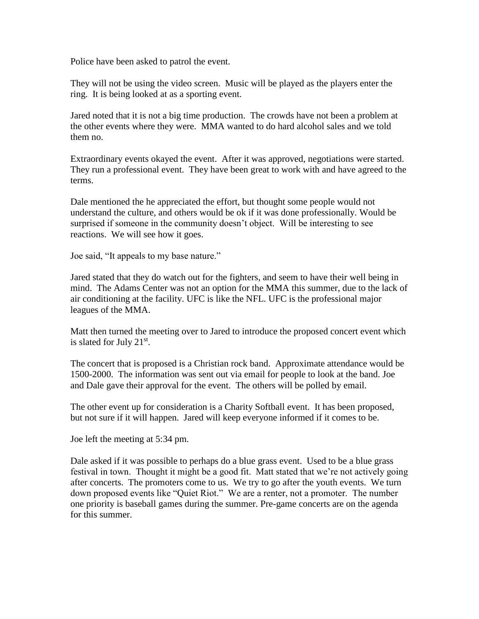Police have been asked to patrol the event.

They will not be using the video screen. Music will be played as the players enter the ring. It is being looked at as a sporting event.

Jared noted that it is not a big time production. The crowds have not been a problem at the other events where they were. MMA wanted to do hard alcohol sales and we told them no.

Extraordinary events okayed the event. After it was approved, negotiations were started. They run a professional event. They have been great to work with and have agreed to the terms.

Dale mentioned the he appreciated the effort, but thought some people would not understand the culture, and others would be ok if it was done professionally. Would be surprised if someone in the community doesn't object. Will be interesting to see reactions. We will see how it goes.

Joe said, "It appeals to my base nature."

Jared stated that they do watch out for the fighters, and seem to have their well being in mind. The Adams Center was not an option for the MMA this summer, due to the lack of air conditioning at the facility. UFC is like the NFL. UFC is the professional major leagues of the MMA.

Matt then turned the meeting over to Jared to introduce the proposed concert event which is slated for July  $21<sup>st</sup>$ .

The concert that is proposed is a Christian rock band. Approximate attendance would be 1500-2000. The information was sent out via email for people to look at the band. Joe and Dale gave their approval for the event. The others will be polled by email.

The other event up for consideration is a Charity Softball event. It has been proposed, but not sure if it will happen. Jared will keep everyone informed if it comes to be.

Joe left the meeting at 5:34 pm.

Dale asked if it was possible to perhaps do a blue grass event. Used to be a blue grass festival in town. Thought it might be a good fit. Matt stated that we're not actively going after concerts. The promoters come to us. We try to go after the youth events. We turn down proposed events like "Quiet Riot." We are a renter, not a promoter. The number one priority is baseball games during the summer. Pre-game concerts are on the agenda for this summer.